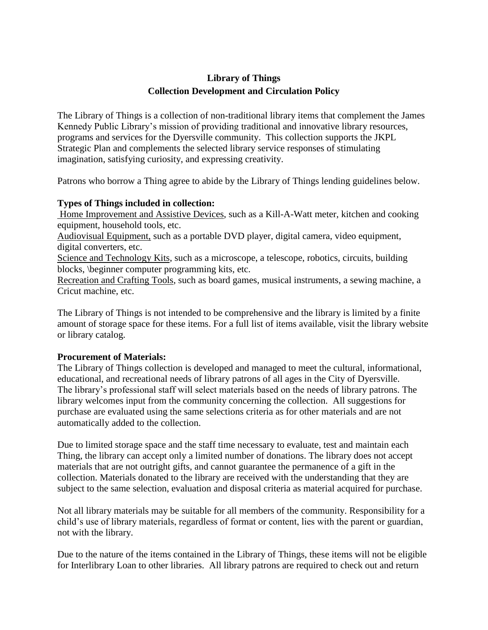# **Library of Things Collection Development and Circulation Policy**

The Library of Things is a collection of non-traditional library items that complement the James Kennedy Public Library's mission of providing traditional and innovative library resources, programs and services for the Dyersville community. This collection supports the JKPL Strategic Plan and complements the selected library service responses of stimulating imagination, satisfying curiosity, and expressing creativity.

Patrons who borrow a Thing agree to abide by the Library of Things lending guidelines below.

#### **Types of Things included in collection:**

Home Improvement and Assistive Devices, such as a Kill-A-Watt meter, kitchen and cooking equipment, household tools, etc.

Audiovisual Equipment, such as a portable DVD player, digital camera, video equipment, digital converters, etc.

Science and Technology Kits, such as a microscope, a telescope, robotics, circuits, building blocks, \beginner computer programming kits, etc.

Recreation and Crafting Tools, such as board games, musical instruments, a sewing machine, a Cricut machine, etc.

The Library of Things is not intended to be comprehensive and the library is limited by a finite amount of storage space for these items. For a full list of items available, visit the library website or library catalog.

### **Procurement of Materials:**

The Library of Things collection is developed and managed to meet the cultural, informational, educational, and recreational needs of library patrons of all ages in the City of Dyersville. The library's professional staff will select materials based on the needs of library patrons. The library welcomes input from the community concerning the collection. All suggestions for purchase are evaluated using the same selections criteria as for other materials and are not automatically added to the collection.

Due to limited storage space and the staff time necessary to evaluate, test and maintain each Thing, the library can accept only a limited number of donations. The library does not accept materials that are not outright gifts, and cannot guarantee the permanence of a gift in the collection. Materials donated to the library are received with the understanding that they are subject to the same selection, evaluation and disposal criteria as material acquired for purchase.

Not all library materials may be suitable for all members of the community. Responsibility for a child's use of library materials, regardless of format or content, lies with the parent or guardian, not with the library.

Due to the nature of the items contained in the Library of Things, these items will not be eligible for Interlibrary Loan to other libraries. All library patrons are required to check out and return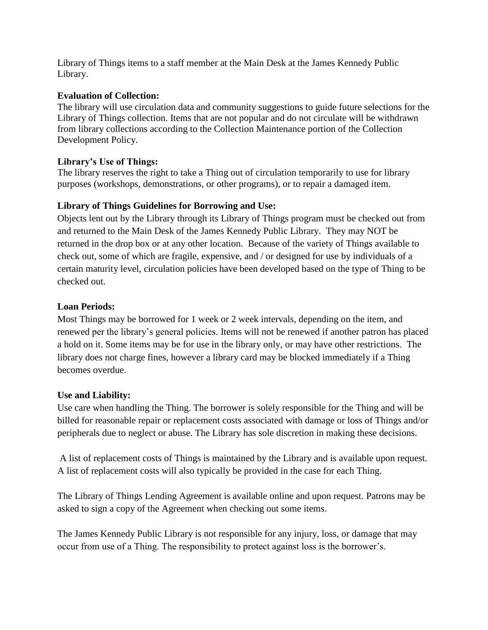Library of Things items to a staff member at the Main Desk at the James Kennedy Public Library.

### **Evaluation of Collection:**

The library will use circulation data and community suggestions to guide future selections for the Library of Things collection. Items that are not popular and do not circulate will be withdrawn from library collections according to the Collection Maintenance portion of the Collection Development Policy.

## **Library's Use of Things:**

The library reserves the right to take a Thing out of circulation temporarily to use for library purposes (workshops, demonstrations, or other programs), or to repair a damaged item.

## **Library of Things Guidelines for Borrowing and Use:**

Objects lent out by the Library through its Library of Things program must be checked out from and returned to the Main Desk of the James Kennedy Public Library. They may NOT be returned in the drop box or at any other location. Because of the variety of Things available to check out, some of which are fragile, expensive, and / or designed for use by individuals of a certain maturity level, circulation policies have been developed based on the type of Thing to be checked out.

## **Loan Periods:**

Most Things may be borrowed for 1 week or 2 week intervals, depending on the item, and renewed per the library's general policies. Items will not be renewed if another patron has placed a hold on it. Some items may be for use in the library only, or may have other restrictions. The library does not charge fines, however a library card may be blocked immediately if a Thing becomes overdue.

### **Use and Liability:**

Use care when handling the Thing. The borrower is solely responsible for the Thing and will be billed for reasonable repair or replacement costs associated with damage or loss of Things and/or peripherals due to neglect or abuse. The Library has sole discretion in making these decisions.

A list of replacement costs of Things is maintained by the Library and is available upon request. A list of replacement costs will also typically be provided in the case for each Thing.

The Library of Things Lending Agreement is available online and upon request. Patrons may be asked to sign a copy of the Agreement when checking out some items.

The James Kennedy Public Library is not responsible for any injury, loss, or damage that may occur from use of a Thing. The responsibility to protect against loss is the borrower's.